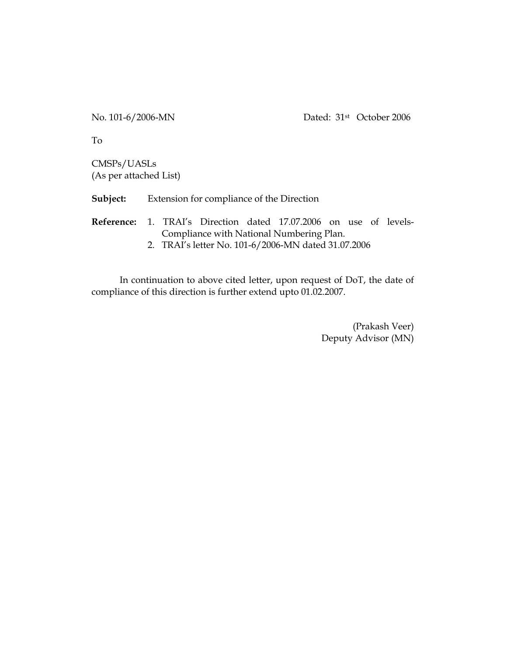To

CMSPs/UASLs (As per attached List)

**Subject:** Extension for compliance of the Direction

**Reference:** 1. TRAI's Direction dated 17.07.2006 on use of levels-Compliance with National Numbering Plan.

2. TRAI's letter No. 101-6/2006-MN dated 31.07.2006

In continuation to above cited letter, upon request of DoT, the date of compliance of this direction is further extend upto 01.02.2007.

> (Prakash Veer) Deputy Advisor (MN)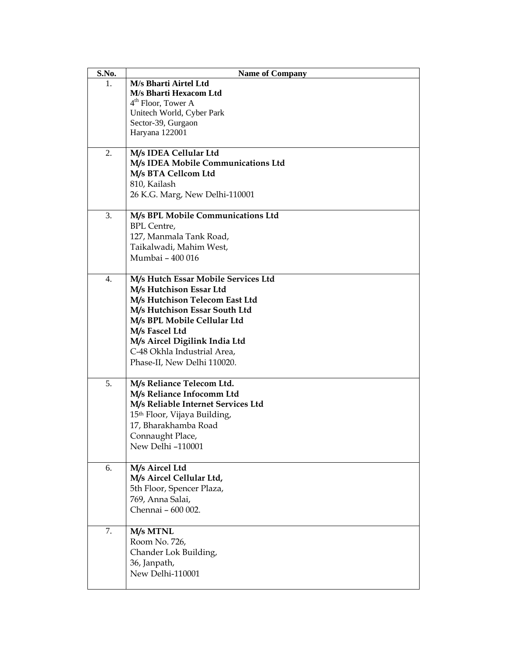| S.No. | <b>Name of Company</b>                          |
|-------|-------------------------------------------------|
| 1.    | M/s Bharti Airtel Ltd                           |
|       | M/s Bharti Hexacom Ltd                          |
|       | $4th$ Floor, Tower A                            |
|       | Unitech World, Cyber Park<br>Sector-39, Gurgaon |
|       | Haryana 122001                                  |
|       |                                                 |
| 2.    | M/s IDEA Cellular Ltd                           |
|       | M/s IDEA Mobile Communications Ltd              |
|       | M/s BTA Cellcom Ltd                             |
|       | 810, Kailash                                    |
|       | 26 K.G. Marg, New Delhi-110001                  |
| 3.    | M/s BPL Mobile Communications Ltd               |
|       | <b>BPL</b> Centre,                              |
|       | 127, Manmala Tank Road,                         |
|       | Taikalwadi, Mahim West,                         |
|       | Mumbai - 400 016                                |
|       |                                                 |
| 4.    | M/s Hutch Essar Mobile Services Ltd             |
|       | M/s Hutchison Essar Ltd                         |
|       | M/s Hutchison Telecom East Ltd                  |
|       | M/s Hutchison Essar South Ltd                   |
|       | M/s BPL Mobile Cellular Ltd<br>M/s Fascel Ltd   |
|       | M/s Aircel Digilink India Ltd                   |
|       | C-48 Okhla Industrial Area,                     |
|       | Phase-II, New Delhi 110020.                     |
|       |                                                 |
| 5.    | M/s Reliance Telecom Ltd.                       |
|       | M/s Reliance Infocomm Ltd                       |
|       | M/s Reliable Internet Services Ltd              |
|       | 15 <sup>th</sup> Floor, Vijaya Building,        |
|       | 17, Bharakhamba Road                            |
|       | Connaught Place,                                |
|       | New Delhi-110001                                |
| 6.    | M/s Aircel Ltd                                  |
|       | M/s Aircel Cellular Ltd,                        |
|       | 5th Floor, Spencer Plaza,                       |
|       | 769, Anna Salai,                                |
|       | Chennai - 600 002.                              |
| 7.    | M/s MTNL                                        |
|       | Room No. 726,                                   |
|       | Chander Lok Building,                           |
|       | 36, Janpath,                                    |
|       | New Delhi-110001                                |
|       |                                                 |